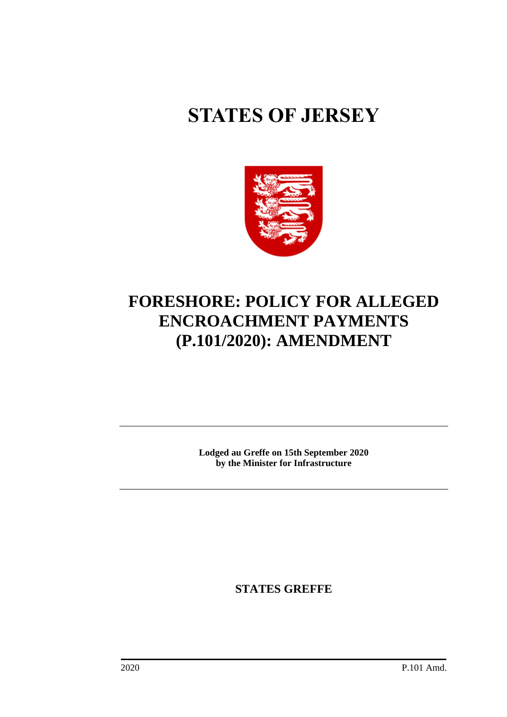# **STATES OF JERSEY**



# **FORESHORE: POLICY FOR ALLEGED ENCROACHMENT PAYMENTS (P.101/2020): AMENDMENT**

**Lodged au Greffe on 15th September 2020 by the Minister for Infrastructure**

**STATES GREFFE**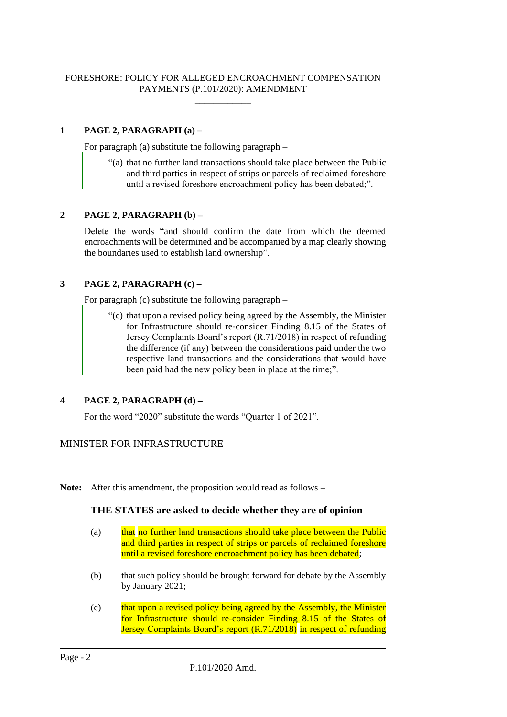#### FORESHORE: POLICY FOR ALLEGED ENCROACHMENT COMPENSATION PAYMENTS (P.101/2020): AMENDMENT \_\_\_\_\_\_\_\_\_\_\_\_

# **1 PAGE 2, PARAGRAPH (a) –**

For paragraph (a) substitute the following paragraph –

"(a) that no further land transactions should take place between the Public and third parties in respect of strips or parcels of reclaimed foreshore until a revised foreshore encroachment policy has been debated;".

#### **2 PAGE 2, PARAGRAPH (b) –**

Delete the words "and should confirm the date from which the deemed encroachments will be determined and be accompanied by a map clearly showing the boundaries used to establish land ownership".

#### **3 PAGE 2, PARAGRAPH (c) –**

For paragraph (c) substitute the following paragraph –

"(c) that upon a revised policy being agreed by the Assembly, the Minister for Infrastructure should re-consider Finding 8.15 of the States of Jersey Complaints Board's report (R.71/2018) in respect of refunding the difference (if any) between the considerations paid under the two respective land transactions and the considerations that would have been paid had the new policy been in place at the time;".

# **4 PAGE 2, PARAGRAPH (d) –**

For the word "2020" substitute the words "Quarter 1 of 2021".

# MINISTER FOR INFRASTRUCTURE

**Note:** After this amendment, the proposition would read as follows –

#### **THE STATES are asked to decide whether they are of opinion** −

- (a) that no further land transactions should take place between the Public and third parties in respect of strips or parcels of reclaimed foreshore until a revised foreshore encroachment policy has been debated;
- (b) that such policy should be brought forward for debate by the Assembly by January 2021;
- (c) that upon a revised policy being agreed by the Assembly, the Minister for Infrastructure should re-consider Finding 8.15 of the States of Jersey Complaints Board's report (R.71/2018) in respect of refunding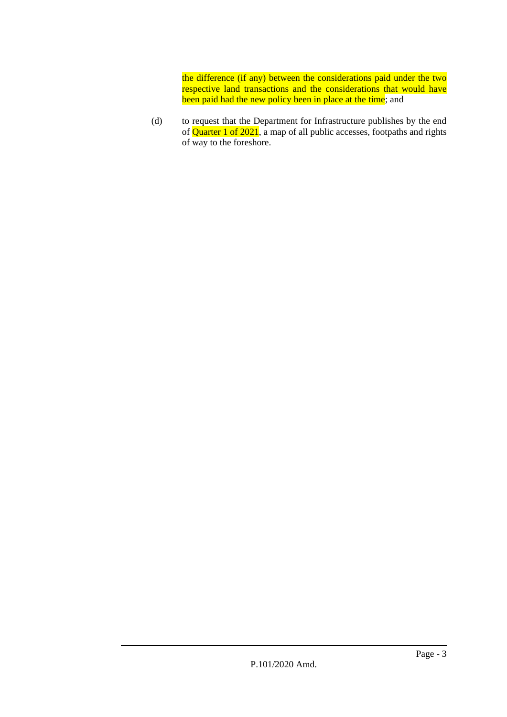the difference (if any) between the considerations paid under the two respective land transactions and the considerations that would have been paid had the new policy been in place at the time; and

(d) to request that the Department for Infrastructure publishes by the end of  $\overrightarrow{Quarter 1}$  of 2021, a map of all public accesses, footpaths and rights of way to the foreshore.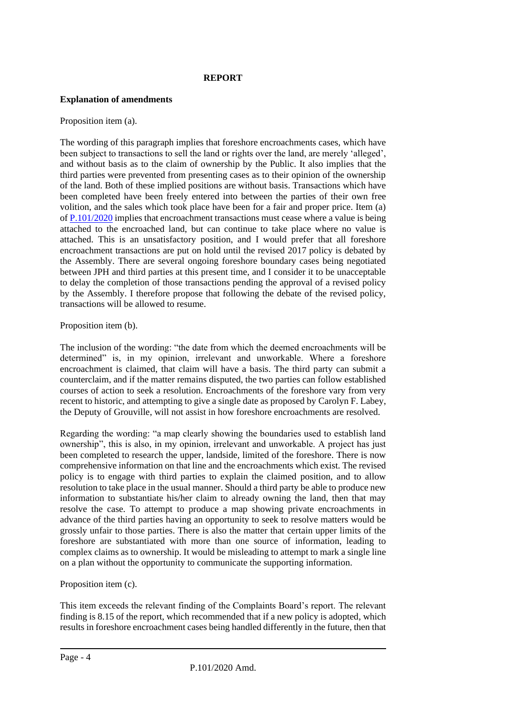# **REPORT**

#### **Explanation of amendments**

#### Proposition item (a).

The wording of this paragraph implies that foreshore encroachments cases, which have been subject to transactions to sell the land or rights over the land, are merely 'alleged', and without basis as to the claim of ownership by the Public. It also implies that the third parties were prevented from presenting cases as to their opinion of the ownership of the land. Both of these implied positions are without basis. Transactions which have been completed have been freely entered into between the parties of their own free volition, and the sales which took place have been for a fair and proper price. Item (a) of [P.101/2020](https://statesassembly.gov.je/Pages/Propositions.aspx?ref=P.101/2020&refurl=%2fPages%2fPropositions.aspx%3fdocumentref%3dP.101%2f2020) implies that encroachment transactions must cease where a value is being attached to the encroached land, but can continue to take place where no value is attached. This is an unsatisfactory position, and I would prefer that all foreshore encroachment transactions are put on hold until the revised 2017 policy is debated by the Assembly. There are several ongoing foreshore boundary cases being negotiated between JPH and third parties at this present time, and I consider it to be unacceptable to delay the completion of those transactions pending the approval of a revised policy by the Assembly. I therefore propose that following the debate of the revised policy, transactions will be allowed to resume.

#### Proposition item (b).

The inclusion of the wording: "the date from which the deemed encroachments will be determined" is, in my opinion, irrelevant and unworkable. Where a foreshore encroachment is claimed, that claim will have a basis. The third party can submit a counterclaim, and if the matter remains disputed, the two parties can follow established courses of action to seek a resolution. Encroachments of the foreshore vary from very recent to historic, and attempting to give a single date as proposed by Carolyn F. Labey, the Deputy of Grouville, will not assist in how foreshore encroachments are resolved.

Regarding the wording: "a map clearly showing the boundaries used to establish land ownership", this is also, in my opinion, irrelevant and unworkable. A project has just been completed to research the upper, landside, limited of the foreshore. There is now comprehensive information on that line and the encroachments which exist. The revised policy is to engage with third parties to explain the claimed position, and to allow resolution to take place in the usual manner. Should a third party be able to produce new information to substantiate his/her claim to already owning the land, then that may resolve the case. To attempt to produce a map showing private encroachments in advance of the third parties having an opportunity to seek to resolve matters would be grossly unfair to those parties. There is also the matter that certain upper limits of the foreshore are substantiated with more than one source of information, leading to complex claims as to ownership. It would be misleading to attempt to mark a single line on a plan without the opportunity to communicate the supporting information.

#### Proposition item (c).

This item exceeds the relevant finding of the Complaints Board's report. The relevant finding is 8.15 of the report, which recommended that if a new policy is adopted, which results in foreshore encroachment cases being handled differently in the future, then that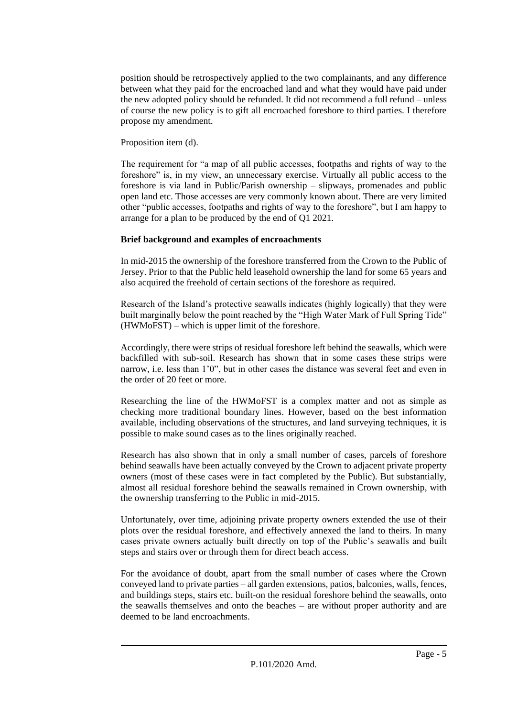position should be retrospectively applied to the two complainants, and any difference between what they paid for the encroached land and what they would have paid under the new adopted policy should be refunded. It did not recommend a full refund – unless of course the new policy is to gift all encroached foreshore to third parties. I therefore propose my amendment.

Proposition item (d).

The requirement for "a map of all public accesses, footpaths and rights of way to the foreshore" is, in my view, an unnecessary exercise. Virtually all public access to the foreshore is via land in Public/Parish ownership – slipways, promenades and public open land etc. Those accesses are very commonly known about. There are very limited other "public accesses, footpaths and rights of way to the foreshore", but I am happy to arrange for a plan to be produced by the end of Q1 2021.

# **Brief background and examples of encroachments**

In mid-2015 the ownership of the foreshore transferred from the Crown to the Public of Jersey. Prior to that the Public held leasehold ownership the land for some 65 years and also acquired the freehold of certain sections of the foreshore as required.

Research of the Island's protective seawalls indicates (highly logically) that they were built marginally below the point reached by the "High Water Mark of Full Spring Tide" (HWMoFST) – which is upper limit of the foreshore.

Accordingly, there were strips of residual foreshore left behind the seawalls, which were backfilled with sub-soil. Research has shown that in some cases these strips were narrow, i.e. less than 1'0", but in other cases the distance was several feet and even in the order of 20 feet or more.

Researching the line of the HWMoFST is a complex matter and not as simple as checking more traditional boundary lines. However, based on the best information available, including observations of the structures, and land surveying techniques, it is possible to make sound cases as to the lines originally reached.

Research has also shown that in only a small number of cases, parcels of foreshore behind seawalls have been actually conveyed by the Crown to adjacent private property owners (most of these cases were in fact completed by the Public). But substantially, almost all residual foreshore behind the seawalls remained in Crown ownership, with the ownership transferring to the Public in mid-2015.

Unfortunately, over time, adjoining private property owners extended the use of their plots over the residual foreshore, and effectively annexed the land to theirs. In many cases private owners actually built directly on top of the Public's seawalls and built steps and stairs over or through them for direct beach access.

For the avoidance of doubt, apart from the small number of cases where the Crown conveyed land to private parties – all garden extensions, patios, balconies, walls, fences, and buildings steps, stairs etc. built-on the residual foreshore behind the seawalls, onto the seawalls themselves and onto the beaches – are without proper authority and are deemed to be land encroachments.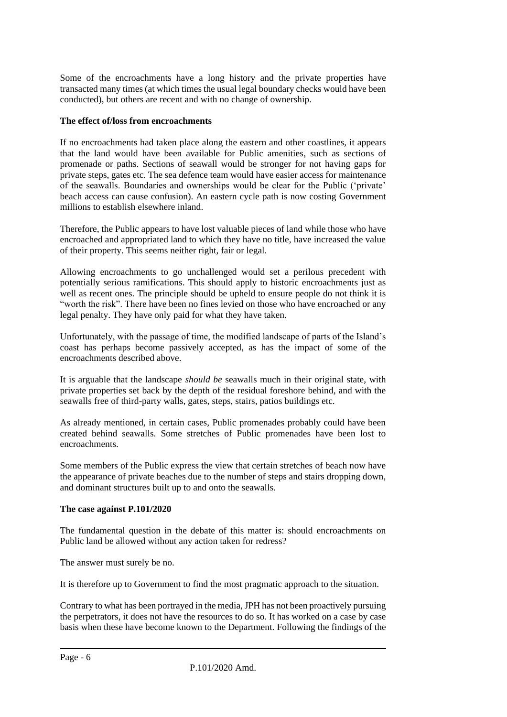Some of the encroachments have a long history and the private properties have transacted many times (at which times the usual legal boundary checks would have been conducted), but others are recent and with no change of ownership.

#### **The effect of/loss from encroachments**

If no encroachments had taken place along the eastern and other coastlines, it appears that the land would have been available for Public amenities, such as sections of promenade or paths. Sections of seawall would be stronger for not having gaps for private steps, gates etc. The sea defence team would have easier access for maintenance of the seawalls. Boundaries and ownerships would be clear for the Public ('private' beach access can cause confusion). An eastern cycle path is now costing Government millions to establish elsewhere inland.

Therefore, the Public appears to have lost valuable pieces of land while those who have encroached and appropriated land to which they have no title, have increased the value of their property. This seems neither right, fair or legal.

Allowing encroachments to go unchallenged would set a perilous precedent with potentially serious ramifications. This should apply to historic encroachments just as well as recent ones. The principle should be upheld to ensure people do not think it is "worth the risk". There have been no fines levied on those who have encroached or any legal penalty. They have only paid for what they have taken.

Unfortunately, with the passage of time, the modified landscape of parts of the Island's coast has perhaps become passively accepted, as has the impact of some of the encroachments described above.

It is arguable that the landscape *should be* seawalls much in their original state, with private properties set back by the depth of the residual foreshore behind, and with the seawalls free of third-party walls, gates, steps, stairs, patios buildings etc.

As already mentioned, in certain cases, Public promenades probably could have been created behind seawalls. Some stretches of Public promenades have been lost to encroachments.

Some members of the Public express the view that certain stretches of beach now have the appearance of private beaches due to the number of steps and stairs dropping down, and dominant structures built up to and onto the seawalls.

#### **The case against P.101/2020**

The fundamental question in the debate of this matter is: should encroachments on Public land be allowed without any action taken for redress?

The answer must surely be no.

It is therefore up to Government to find the most pragmatic approach to the situation.

Contrary to what has been portrayed in the media, JPH has not been proactively pursuing the perpetrators, it does not have the resources to do so. It has worked on a case by case basis when these have become known to the Department. Following the findings of the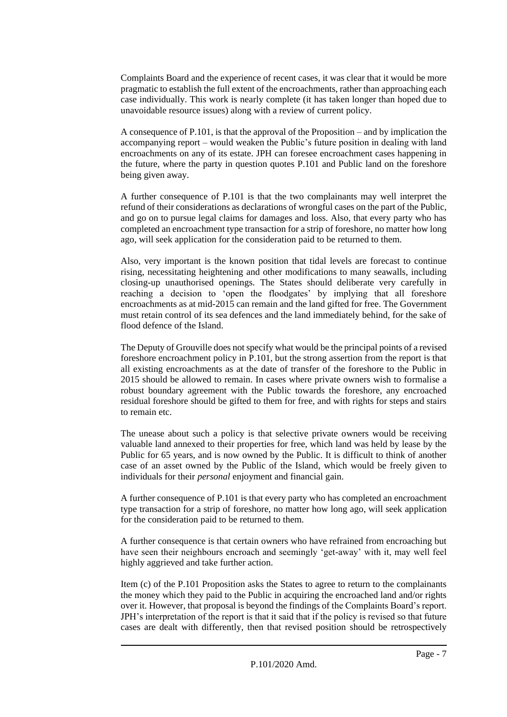Complaints Board and the experience of recent cases, it was clear that it would be more pragmatic to establish the full extent of the encroachments, rather than approaching each case individually. This work is nearly complete (it has taken longer than hoped due to unavoidable resource issues) along with a review of current policy.

A consequence of P.101, is that the approval of the Proposition – and by implication the accompanying report – would weaken the Public's future position in dealing with land encroachments on any of its estate. JPH can foresee encroachment cases happening in the future, where the party in question quotes P.101 and Public land on the foreshore being given away.

A further consequence of P.101 is that the two complainants may well interpret the refund of their considerations as declarations of wrongful cases on the part of the Public, and go on to pursue legal claims for damages and loss. Also, that every party who has completed an encroachment type transaction for a strip of foreshore, no matter how long ago, will seek application for the consideration paid to be returned to them.

Also, very important is the known position that tidal levels are forecast to continue rising, necessitating heightening and other modifications to many seawalls, including closing-up unauthorised openings. The States should deliberate very carefully in reaching a decision to 'open the floodgates' by implying that all foreshore encroachments as at mid-2015 can remain and the land gifted for free. The Government must retain control of its sea defences and the land immediately behind, for the sake of flood defence of the Island.

The Deputy of Grouville does not specify what would be the principal points of a revised foreshore encroachment policy in P.101, but the strong assertion from the report is that all existing encroachments as at the date of transfer of the foreshore to the Public in 2015 should be allowed to remain. In cases where private owners wish to formalise a robust boundary agreement with the Public towards the foreshore, any encroached residual foreshore should be gifted to them for free, and with rights for steps and stairs to remain etc.

The unease about such a policy is that selective private owners would be receiving valuable land annexed to their properties for free, which land was held by lease by the Public for 65 years, and is now owned by the Public. It is difficult to think of another case of an asset owned by the Public of the Island, which would be freely given to individuals for their *personal* enjoyment and financial gain.

A further consequence of P.101 is that every party who has completed an encroachment type transaction for a strip of foreshore, no matter how long ago, will seek application for the consideration paid to be returned to them.

A further consequence is that certain owners who have refrained from encroaching but have seen their neighbours encroach and seemingly 'get-away' with it, may well feel highly aggrieved and take further action.

Item (c) of the P.101 Proposition asks the States to agree to return to the complainants the money which they paid to the Public in acquiring the encroached land and/or rights over it. However, that proposal is beyond the findings of the Complaints Board's report. JPH's interpretation of the report is that it said that if the policy is revised so that future cases are dealt with differently, then that revised position should be retrospectively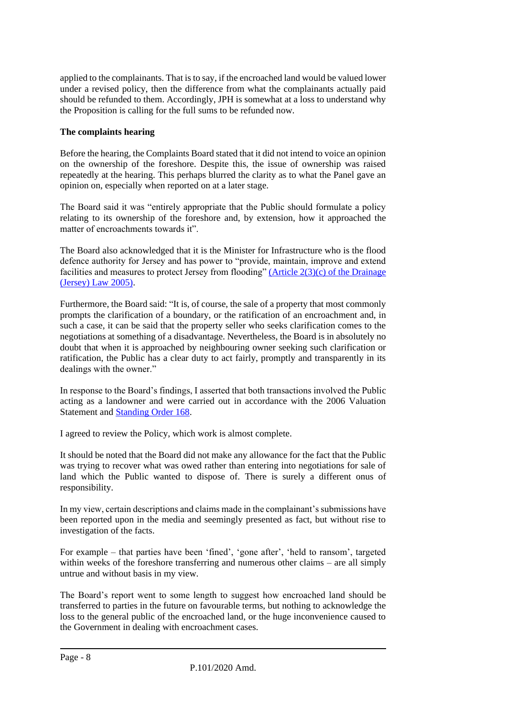applied to the complainants. That is to say, if the encroached land would be valued lower under a revised policy, then the difference from what the complainants actually paid should be refunded to them. Accordingly, JPH is somewhat at a loss to understand why the Proposition is calling for the full sums to be refunded now.

# **The complaints hearing**

Before the hearing, the Complaints Board stated that it did not intend to voice an opinion on the ownership of the foreshore. Despite this, the issue of ownership was raised repeatedly at the hearing. This perhaps blurred the clarity as to what the Panel gave an opinion on, especially when reported on at a later stage.

The Board said it was "entirely appropriate that the Public should formulate a policy relating to its ownership of the foreshore and, by extension, how it approached the matter of encroachments towards it".

The Board also acknowledged that it is the Minister for Infrastructure who is the flood defence authority for Jersey and has power to "provide, maintain, improve and extend facilities and measures to protect Jersey from flooding" (Article  $2(3)(c)$  of the Drainage [\(Jersey\) Law 2005\).](https://www.jerseylaw.je/laws/unofficialconsolidated/Pages/22.080.aspx)

Furthermore, the Board said: "It is, of course, the sale of a property that most commonly prompts the clarification of a boundary, or the ratification of an encroachment and, in such a case, it can be said that the property seller who seeks clarification comes to the negotiations at something of a disadvantage. Nevertheless, the Board is in absolutely no doubt that when it is approached by neighbouring owner seeking such clarification or ratification, the Public has a clear duty to act fairly, promptly and transparently in its dealings with the owner."

In response to the Board's findings, I asserted that both transactions involved the Public acting as a landowner and were carried out in accordance with the 2006 Valuation Statement and [Standing Order 168.](https://www.jerseylaw.je/laws/unofficialconsolidated/Pages/16.800.15.aspx)

I agreed to review the Policy, which work is almost complete.

It should be noted that the Board did not make any allowance for the fact that the Public was trying to recover what was owed rather than entering into negotiations for sale of land which the Public wanted to dispose of. There is surely a different onus of responsibility.

In my view, certain descriptions and claims made in the complainant's submissions have been reported upon in the media and seemingly presented as fact, but without rise to investigation of the facts.

For example – that parties have been 'fined', 'gone after', 'held to ransom', targeted within weeks of the foreshore transferring and numerous other claims – are all simply untrue and without basis in my view.

The Board's report went to some length to suggest how encroached land should be transferred to parties in the future on favourable terms, but nothing to acknowledge the loss to the general public of the encroached land, or the huge inconvenience caused to the Government in dealing with encroachment cases.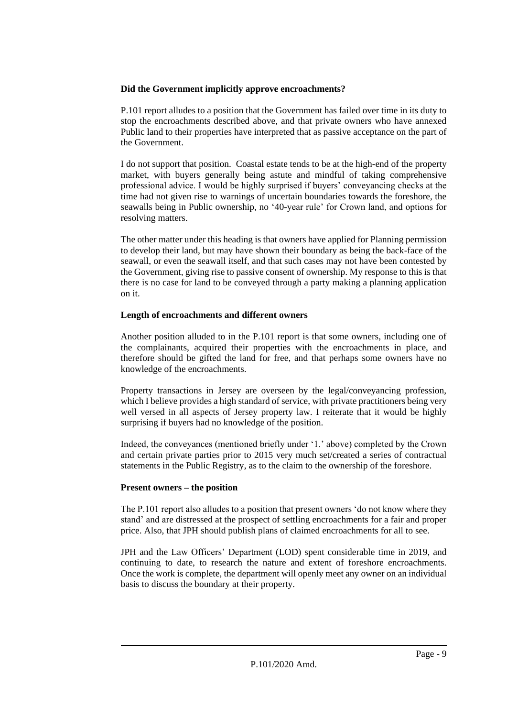#### **Did the Government implicitly approve encroachments?**

P.101 report alludes to a position that the Government has failed over time in its duty to stop the encroachments described above, and that private owners who have annexed Public land to their properties have interpreted that as passive acceptance on the part of the Government.

I do not support that position. Coastal estate tends to be at the high-end of the property market, with buyers generally being astute and mindful of taking comprehensive professional advice. I would be highly surprised if buyers' conveyancing checks at the time had not given rise to warnings of uncertain boundaries towards the foreshore, the seawalls being in Public ownership, no '40-year rule' for Crown land, and options for resolving matters.

The other matter under this heading is that owners have applied for Planning permission to develop their land, but may have shown their boundary as being the back-face of the seawall, or even the seawall itself, and that such cases may not have been contested by the Government, giving rise to passive consent of ownership. My response to this is that there is no case for land to be conveyed through a party making a planning application on it.

#### **Length of encroachments and different owners**

Another position alluded to in the P.101 report is that some owners, including one of the complainants, acquired their properties with the encroachments in place, and therefore should be gifted the land for free, and that perhaps some owners have no knowledge of the encroachments.

Property transactions in Jersey are overseen by the legal/conveyancing profession, which I believe provides a high standard of service, with private practitioners being very well versed in all aspects of Jersey property law. I reiterate that it would be highly surprising if buyers had no knowledge of the position.

Indeed, the conveyances (mentioned briefly under '1.' above) completed by the Crown and certain private parties prior to 2015 very much set/created a series of contractual statements in the Public Registry, as to the claim to the ownership of the foreshore.

#### **Present owners – the position**

The P.101 report also alludes to a position that present owners 'do not know where they stand' and are distressed at the prospect of settling encroachments for a fair and proper price. Also, that JPH should publish plans of claimed encroachments for all to see.

JPH and the Law Officers' Department (LOD) spent considerable time in 2019, and continuing to date, to research the nature and extent of foreshore encroachments. Once the work is complete, the department will openly meet any owner on an individual basis to discuss the boundary at their property.